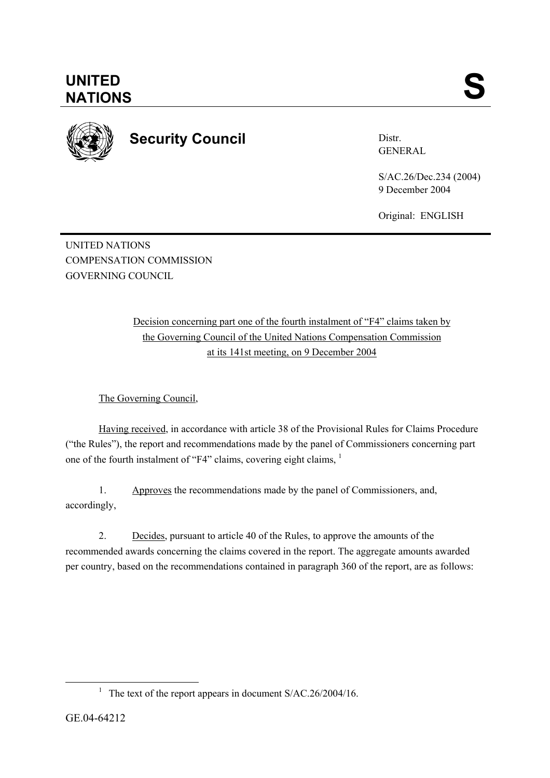

**UNITED** 

## **Security Council**

Distr. GENERAL

S/AC.26/Dec.234 (2004) 9 December 2004

Original: ENGLISH

UNITED NATIONS COMPENSATION COMMISSION GOVERNING COUNCIL

> Decision concerning part one of the fourth instalment of "F4" claims taken by the Governing Council of the United Nations Compensation Commission at its 141st meeting, on 9 December 2004

The Governing Council,

Having received, in accordance with article 38 of the Provisional Rules for Claims Procedure ("the Rules"), the report and recommendations made by the panel of Commissioners concerning part one of the fourth instalment of "F4" claims, covering eight claims, 1

1. Approves the recommendations made by the panel of Commissioners, and, accordingly,

2. Decides, pursuant to article 40 of the Rules, to approve the amounts of the recommended awards concerning the claims covered in the report. The aggregate amounts awarded per country, based on the recommendations contained in paragraph 360 of the report, are as follows:

<sup>&</sup>lt;sup>1</sup> The text of the report appears in document  $S/AC.26/2004/16$ .